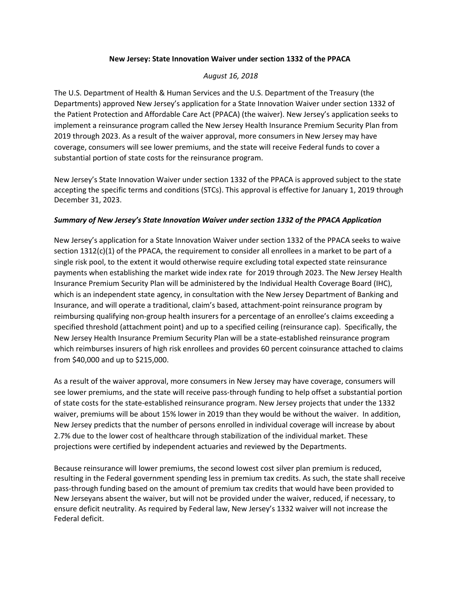## **New Jersey: State Innovation Waiver under section 1332 of the PPACA**

## *August 16, 2018*

The U.S. Department of Health & Human Services and the U.S. Department of the Treasury (the Departments) approved New Jersey's application for a State Innovation Waiver under section 1332 of the Patient Protection and Affordable Care Act (PPACA) (the waiver). New Jersey's application seeks to implement a reinsurance program called the New Jersey Health Insurance Premium Security Plan from 2019 through 2023. As a result of the waiver approval, more consumers in New Jersey may have coverage, consumers will see lower premiums, and the state will receive Federal funds to cover a substantial portion of state costs for the reinsurance program.

New Jersey's State Innovation Waiver under section 1332 of the PPACA is approved subject to the state accepting the specific terms and conditions (STCs). This approval is effective for January 1, 2019 through December 31, 2023.

## *Summary of New Jersey's State Innovation Waiver under section 1332 of the PPACA Application*

New Jersey's application for a State Innovation Waiver under section 1332 of the PPACA seeks to waive section 1312(c)(1) of the PPACA, the requirement to consider all enrollees in a market to be part of a single risk pool, to the extent it would otherwise require excluding total expected state reinsurance payments when establishing the market wide index rate for 2019 through 2023. The New Jersey Health Insurance Premium Security Plan will be administered by the Individual Health Coverage Board (IHC), which is an independent state agency, in consultation with the New Jersey Department of Banking and Insurance, and will operate a traditional, claim's based, attachment-point reinsurance program by reimbursing qualifying non-group health insurers for a percentage of an enrollee's claims exceeding a specified threshold (attachment point) and up to a specified ceiling (reinsurance cap). Specifically, the New Jersey Health Insurance Premium Security Plan will be a state-established reinsurance program which reimburses insurers of high risk enrollees and provides 60 percent coinsurance attached to claims from \$40,000 and up to \$215,000.

As a result of the waiver approval, more consumers in New Jersey may have coverage, consumers will see lower premiums, and the state will receive pass-through funding to help offset a substantial portion of state costs for the state-established reinsurance program. New Jersey projects that under the 1332 waiver, premiums will be about 15% lower in 2019 than they would be without the waiver. In addition, New Jersey predicts that the number of persons enrolled in individual coverage will increase by about 2.7% due to the lower cost of healthcare through stabilization of the individual market. These projections were certified by independent actuaries and reviewed by the Departments.

Because reinsurance will lower premiums, the second lowest cost silver plan premium is reduced, resulting in the Federal government spending less in premium tax credits. As such, the state shall receive pass-through funding based on the amount of premium tax credits that would have been provided to New Jerseyans absent the waiver, but will not be provided under the waiver, reduced, if necessary, to ensure deficit neutrality. As required by Federal law, New Jersey's 1332 waiver will not increase the Federal deficit.